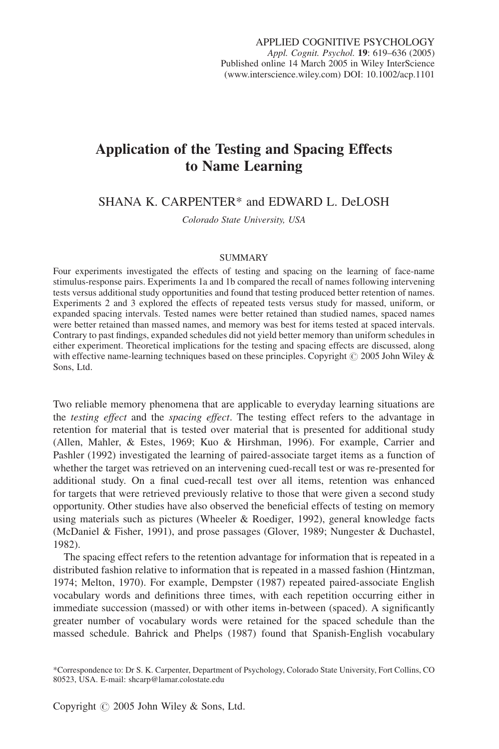# Application of the Testing and Spacing Effects to Name Learning

# SHANA K. CARPENTER\* and EDWARD L. DeLOSH

Colorado State University, USA

#### SUMMARY

Four experiments investigated the effects of testing and spacing on the learning of face-name stimulus-response pairs. Experiments 1a and 1b compared the recall of names following intervening tests versus additional study opportunities and found that testing produced better retention of names. Experiments 2 and 3 explored the effects of repeated tests versus study for massed, uniform, or expanded spacing intervals. Tested names were better retained than studied names, spaced names were better retained than massed names, and memory was best for items tested at spaced intervals. Contrary to past findings, expanded schedules did not yield better memory than uniform schedules in either experiment. Theoretical implications for the testing and spacing effects are discussed, along with effective name-learning techniques based on these principles. Copyright  $\odot$  2005 John Wiley & Sons, Ltd.

Two reliable memory phenomena that are applicable to everyday learning situations are the *testing effect* and the *spacing effect*. The testing effect refers to the advantage in retention for material that is tested over material that is presented for additional study (Allen, Mahler, & Estes, 1969; Kuo & Hirshman, 1996). For example, Carrier and Pashler (1992) investigated the learning of paired-associate target items as a function of whether the target was retrieved on an intervening cued-recall test or was re-presented for additional study. On a final cued-recall test over all items, retention was enhanced for targets that were retrieved previously relative to those that were given a second study opportunity. Other studies have also observed the beneficial effects of testing on memory using materials such as pictures (Wheeler  $\&$  Roediger, 1992), general knowledge facts (McDaniel & Fisher, 1991), and prose passages (Glover, 1989; Nungester & Duchastel, 1982).

The spacing effect refers to the retention advantage for information that is repeated in a distributed fashion relative to information that is repeated in a massed fashion (Hintzman, 1974; Melton, 1970). For example, Dempster (1987) repeated paired-associate English vocabulary words and definitions three times, with each repetition occurring either in immediate succession (massed) or with other items in-between (spaced). A significantly greater number of vocabulary words were retained for the spaced schedule than the massed schedule. Bahrick and Phelps (1987) found that Spanish-English vocabulary

<sup>\*</sup>Correspondence to: Dr S. K. Carpenter, Department of Psychology, Colorado State University, Fort Collins, CO 80523, USA. E-mail: shcarp@lamar.colostate.edu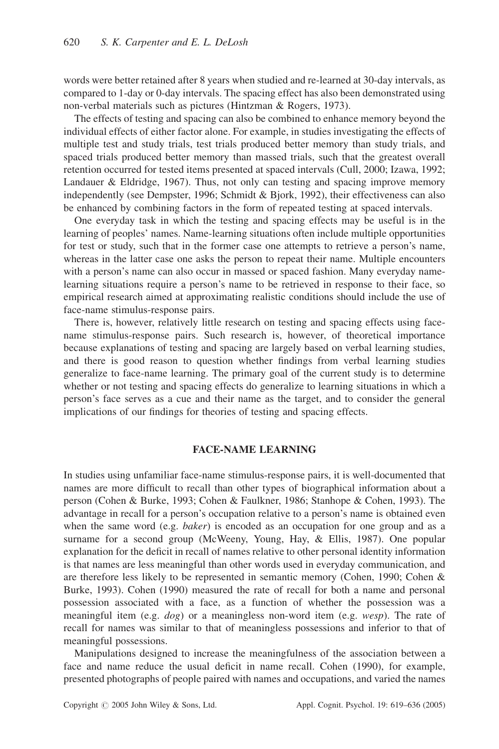words were better retained after 8 years when studied and re-learned at 30-day intervals, as compared to 1-day or 0-day intervals. The spacing effect has also been demonstrated using non-verbal materials such as pictures (Hintzman & Rogers, 1973).

The effects of testing and spacing can also be combined to enhance memory beyond the individual effects of either factor alone. For example, in studies investigating the effects of multiple test and study trials, test trials produced better memory than study trials, and spaced trials produced better memory than massed trials, such that the greatest overall retention occurred for tested items presented at spaced intervals (Cull, 2000; Izawa, 1992; Landauer & Eldridge, 1967). Thus, not only can testing and spacing improve memory independently (see Dempster, 1996; Schmidt & Bjork, 1992), their effectiveness can also be enhanced by combining factors in the form of repeated testing at spaced intervals.

One everyday task in which the testing and spacing effects may be useful is in the learning of peoples' names. Name-learning situations often include multiple opportunities for test or study, such that in the former case one attempts to retrieve a person's name, whereas in the latter case one asks the person to repeat their name. Multiple encounters with a person's name can also occur in massed or spaced fashion. Many everyday namelearning situations require a person's name to be retrieved in response to their face, so empirical research aimed at approximating realistic conditions should include the use of face-name stimulus-response pairs.

There is, however, relatively little research on testing and spacing effects using facename stimulus-response pairs. Such research is, however, of theoretical importance because explanations of testing and spacing are largely based on verbal learning studies, and there is good reason to question whether findings from verbal learning studies generalize to face-name learning. The primary goal of the current study is to determine whether or not testing and spacing effects do generalize to learning situations in which a person's face serves as a cue and their name as the target, and to consider the general implications of our findings for theories of testing and spacing effects.

#### FACE-NAME LEARNING

In studies using unfamiliar face-name stimulus-response pairs, it is well-documented that names are more difficult to recall than other types of biographical information about a person (Cohen & Burke, 1993; Cohen & Faulkner, 1986; Stanhope & Cohen, 1993). The advantage in recall for a person's occupation relative to a person's name is obtained even when the same word (e.g.  $baker$ ) is encoded as an occupation for one group and as a surname for a second group (McWeeny, Young, Hay, & Ellis, 1987). One popular explanation for the deficit in recall of names relative to other personal identity information is that names are less meaningful than other words used in everyday communication, and are therefore less likely to be represented in semantic memory (Cohen, 1990; Cohen & Burke, 1993). Cohen (1990) measured the rate of recall for both a name and personal possession associated with a face, as a function of whether the possession was a meaningful item (e.g.  $dog$ ) or a meaningless non-word item (e.g. wesp). The rate of recall for names was similar to that of meaningless possessions and inferior to that of meaningful possessions.

Manipulations designed to increase the meaningfulness of the association between a face and name reduce the usual deficit in name recall. Cohen (1990), for example, presented photographs of people paired with names and occupations, and varied the names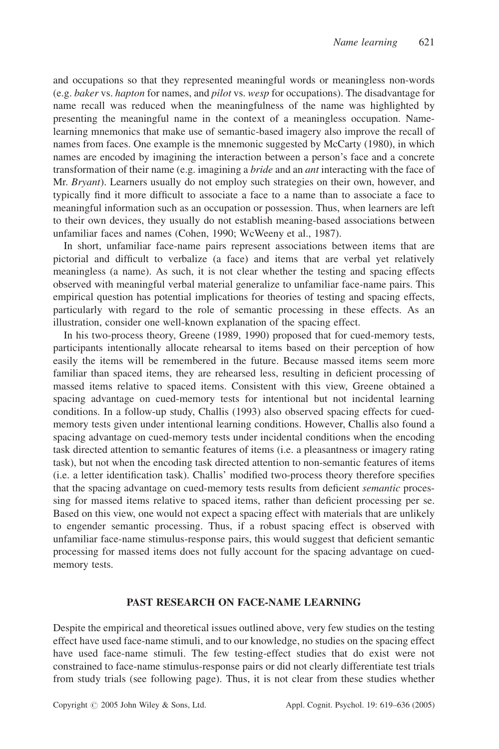and occupations so that they represented meaningful words or meaningless non-words (e.g. baker vs. hapton for names, and pilot vs. wesp for occupations). The disadvantage for name recall was reduced when the meaningfulness of the name was highlighted by presenting the meaningful name in the context of a meaningless occupation. Namelearning mnemonics that make use of semantic-based imagery also improve the recall of names from faces. One example is the mnemonic suggested by McCarty (1980), in which names are encoded by imagining the interaction between a person's face and a concrete transformation of their name (e.g. imagining a *bride* and an *ant* interacting with the face of Mr. Bryant). Learners usually do not employ such strategies on their own, however, and typically find it more difficult to associate a face to a name than to associate a face to meaningful information such as an occupation or possession. Thus, when learners are left to their own devices, they usually do not establish meaning-based associations between unfamiliar faces and names (Cohen, 1990; WcWeeny et al., 1987).

In short, unfamiliar face-name pairs represent associations between items that are pictorial and difficult to verbalize (a face) and items that are verbal yet relatively meaningless (a name). As such, it is not clear whether the testing and spacing effects observed with meaningful verbal material generalize to unfamiliar face-name pairs. This empirical question has potential implications for theories of testing and spacing effects, particularly with regard to the role of semantic processing in these effects. As an illustration, consider one well-known explanation of the spacing effect.

In his two-process theory, Greene (1989, 1990) proposed that for cued-memory tests, participants intentionally allocate rehearsal to items based on their perception of how easily the items will be remembered in the future. Because massed items seem more familiar than spaced items, they are rehearsed less, resulting in deficient processing of massed items relative to spaced items. Consistent with this view, Greene obtained a spacing advantage on cued-memory tests for intentional but not incidental learning conditions. In a follow-up study, Challis (1993) also observed spacing effects for cuedmemory tests given under intentional learning conditions. However, Challis also found a spacing advantage on cued-memory tests under incidental conditions when the encoding task directed attention to semantic features of items (i.e. a pleasantness or imagery rating task), but not when the encoding task directed attention to non-semantic features of items (i.e. a letter identification task). Challis' modified two-process theory therefore specifies that the spacing advantage on cued-memory tests results from deficient *semantic* processing for massed items relative to spaced items, rather than deficient processing per se. Based on this view, one would not expect a spacing effect with materials that are unlikely to engender semantic processing. Thus, if a robust spacing effect is observed with unfamiliar face-name stimulus-response pairs, this would suggest that deficient semantic processing for massed items does not fully account for the spacing advantage on cuedmemory tests.

#### PAST RESEARCH ON FACE-NAME LEARNING

Despite the empirical and theoretical issues outlined above, very few studies on the testing effect have used face-name stimuli, and to our knowledge, no studies on the spacing effect have used face-name stimuli. The few testing-effect studies that do exist were not constrained to face-name stimulus-response pairs or did not clearly differentiate test trials from study trials (see following page). Thus, it is not clear from these studies whether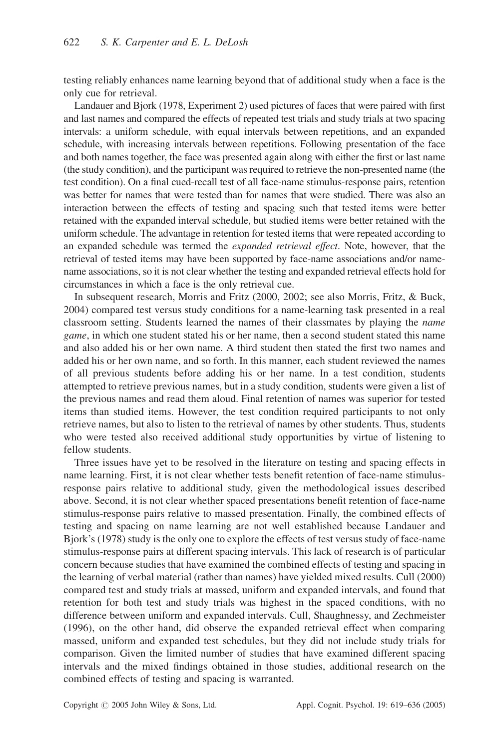testing reliably enhances name learning beyond that of additional study when a face is the only cue for retrieval.

Landauer and Bjork (1978, Experiment 2) used pictures of faces that were paired with first and last names and compared the effects of repeated test trials and study trials at two spacing intervals: a uniform schedule, with equal intervals between repetitions, and an expanded schedule, with increasing intervals between repetitions. Following presentation of the face and both names together, the face was presented again along with either the first or last name (the study condition), and the participant was required to retrieve the non-presented name (the test condition). On a final cued-recall test of all face-name stimulus-response pairs, retention was better for names that were tested than for names that were studied. There was also an interaction between the effects of testing and spacing such that tested items were better retained with the expanded interval schedule, but studied items were better retained with the uniform schedule. The advantage in retention for tested items that were repeated according to an expanded schedule was termed the expanded retrieval effect. Note, however, that the retrieval of tested items may have been supported by face-name associations and/or namename associations, so it is not clear whether the testing and expanded retrieval effects hold for circumstances in which a face is the only retrieval cue.

In subsequent research, Morris and Fritz (2000, 2002; see also Morris, Fritz, & Buck, 2004) compared test versus study conditions for a name-learning task presented in a real classroom setting. Students learned the names of their classmates by playing the name game, in which one student stated his or her name, then a second student stated this name and also added his or her own name. A third student then stated the first two names and added his or her own name, and so forth. In this manner, each student reviewed the names of all previous students before adding his or her name. In a test condition, students attempted to retrieve previous names, but in a study condition, students were given a list of the previous names and read them aloud. Final retention of names was superior for tested items than studied items. However, the test condition required participants to not only retrieve names, but also to listen to the retrieval of names by other students. Thus, students who were tested also received additional study opportunities by virtue of listening to fellow students.

Three issues have yet to be resolved in the literature on testing and spacing effects in name learning. First, it is not clear whether tests benefit retention of face-name stimulusresponse pairs relative to additional study, given the methodological issues described above. Second, it is not clear whether spaced presentations benefit retention of face-name stimulus-response pairs relative to massed presentation. Finally, the combined effects of testing and spacing on name learning are not well established because Landauer and Bjork's (1978) study is the only one to explore the effects of test versus study of face-name stimulus-response pairs at different spacing intervals. This lack of research is of particular concern because studies that have examined the combined effects of testing and spacing in the learning of verbal material (rather than names) have yielded mixed results. Cull (2000) compared test and study trials at massed, uniform and expanded intervals, and found that retention for both test and study trials was highest in the spaced conditions, with no difference between uniform and expanded intervals. Cull, Shaughnessy, and Zechmeister (1996), on the other hand, did observe the expanded retrieval effect when comparing massed, uniform and expanded test schedules, but they did not include study trials for comparison. Given the limited number of studies that have examined different spacing intervals and the mixed findings obtained in those studies, additional research on the combined effects of testing and spacing is warranted.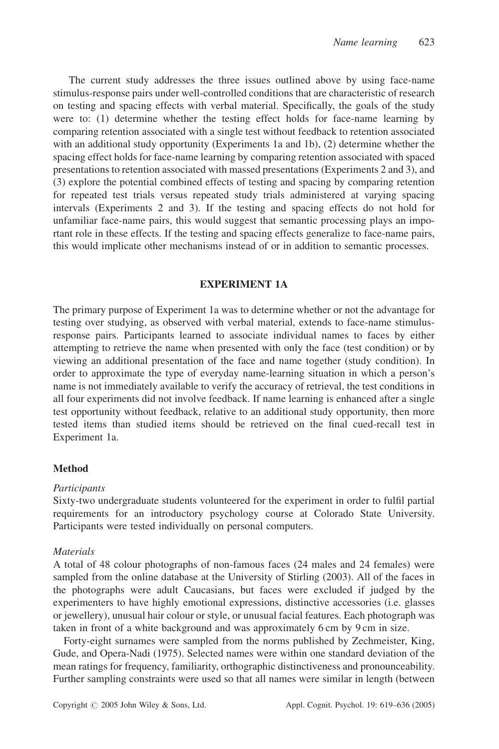The current study addresses the three issues outlined above by using face-name stimulus-response pairs under well-controlled conditions that are characteristic of research on testing and spacing effects with verbal material. Specifically, the goals of the study were to: (1) determine whether the testing effect holds for face-name learning by comparing retention associated with a single test without feedback to retention associated with an additional study opportunity (Experiments 1a and 1b), (2) determine whether the spacing effect holds for face-name learning by comparing retention associated with spaced presentations to retention associated with massed presentations (Experiments 2 and 3), and (3) explore the potential combined effects of testing and spacing by comparing retention for repeated test trials versus repeated study trials administered at varying spacing intervals (Experiments 2 and 3). If the testing and spacing effects do not hold for unfamiliar face-name pairs, this would suggest that semantic processing plays an important role in these effects. If the testing and spacing effects generalize to face-name pairs, this would implicate other mechanisms instead of or in addition to semantic processes.

### EXPERIMENT 1A

The primary purpose of Experiment 1a was to determine whether or not the advantage for testing over studying, as observed with verbal material, extends to face-name stimulusresponse pairs. Participants learned to associate individual names to faces by either attempting to retrieve the name when presented with only the face (test condition) or by viewing an additional presentation of the face and name together (study condition). In order to approximate the type of everyday name-learning situation in which a person's name is not immediately available to verify the accuracy of retrieval, the test conditions in all four experiments did not involve feedback. If name learning is enhanced after a single test opportunity without feedback, relative to an additional study opportunity, then more tested items than studied items should be retrieved on the final cued-recall test in Experiment 1a.

# Method

### **Participants**

Sixty-two undergraduate students volunteered for the experiment in order to fulfil partial requirements for an introductory psychology course at Colorado State University. Participants were tested individually on personal computers.

### **Materials**

A total of 48 colour photographs of non-famous faces (24 males and 24 females) were sampled from the online database at the University of Stirling (2003). All of the faces in the photographs were adult Caucasians, but faces were excluded if judged by the experimenters to have highly emotional expressions, distinctive accessories (i.e. glasses or jewellery), unusual hair colour or style, or unusual facial features. Each photograph was taken in front of a white background and was approximately 6 cm by 9 cm in size.

Forty-eight surnames were sampled from the norms published by Zechmeister, King, Gude, and Opera-Nadi (1975). Selected names were within one standard deviation of the mean ratings for frequency, familiarity, orthographic distinctiveness and pronounceability. Further sampling constraints were used so that all names were similar in length (between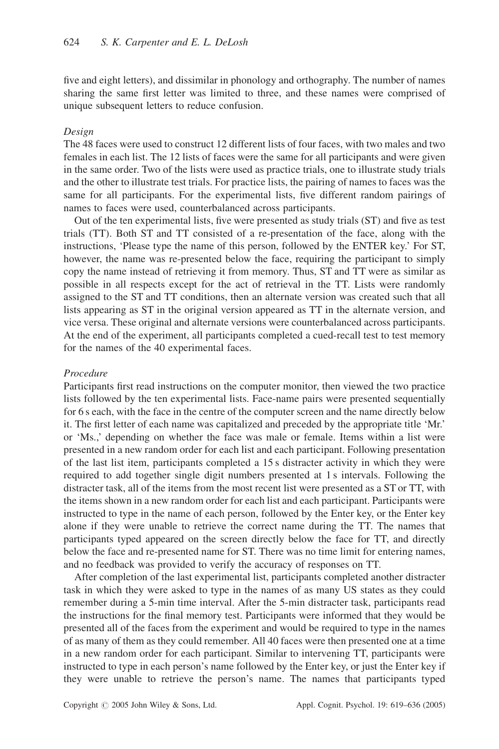five and eight letters), and dissimilar in phonology and orthography. The number of names sharing the same first letter was limited to three, and these names were comprised of unique subsequent letters to reduce confusion.

#### Design

The 48 faces were used to construct 12 different lists of four faces, with two males and two females in each list. The 12 lists of faces were the same for all participants and were given in the same order. Two of the lists were used as practice trials, one to illustrate study trials and the other to illustrate test trials. For practice lists, the pairing of names to faces was the same for all participants. For the experimental lists, five different random pairings of names to faces were used, counterbalanced across participants.

Out of the ten experimental lists, five were presented as study trials (ST) and five as test trials (TT). Both ST and TT consisted of a re-presentation of the face, along with the instructions, 'Please type the name of this person, followed by the ENTER key.' For ST, however, the name was re-presented below the face, requiring the participant to simply copy the name instead of retrieving it from memory. Thus, ST and TT were as similar as possible in all respects except for the act of retrieval in the TT. Lists were randomly assigned to the ST and TT conditions, then an alternate version was created such that all lists appearing as ST in the original version appeared as TT in the alternate version, and vice versa. These original and alternate versions were counterbalanced across participants. At the end of the experiment, all participants completed a cued-recall test to test memory for the names of the 40 experimental faces.

#### Procedure

Participants first read instructions on the computer monitor, then viewed the two practice lists followed by the ten experimental lists. Face-name pairs were presented sequentially for 6 s each, with the face in the centre of the computer screen and the name directly below it. The first letter of each name was capitalized and preceded by the appropriate title 'Mr.' or 'Ms.,' depending on whether the face was male or female. Items within a list were presented in a new random order for each list and each participant. Following presentation of the last list item, participants completed a 15 s distracter activity in which they were required to add together single digit numbers presented at 1 s intervals. Following the distracter task, all of the items from the most recent list were presented as a ST or TT, with the items shown in a new random order for each list and each participant. Participants were instructed to type in the name of each person, followed by the Enter key, or the Enter key alone if they were unable to retrieve the correct name during the TT. The names that participants typed appeared on the screen directly below the face for TT, and directly below the face and re-presented name for ST. There was no time limit for entering names, and no feedback was provided to verify the accuracy of responses on TT.

After completion of the last experimental list, participants completed another distracter task in which they were asked to type in the names of as many US states as they could remember during a 5-min time interval. After the 5-min distracter task, participants read the instructions for the final memory test. Participants were informed that they would be presented all of the faces from the experiment and would be required to type in the names of as many of them as they could remember. All 40 faces were then presented one at a time in a new random order for each participant. Similar to intervening TT, participants were instructed to type in each person's name followed by the Enter key, or just the Enter key if they were unable to retrieve the person's name. The names that participants typed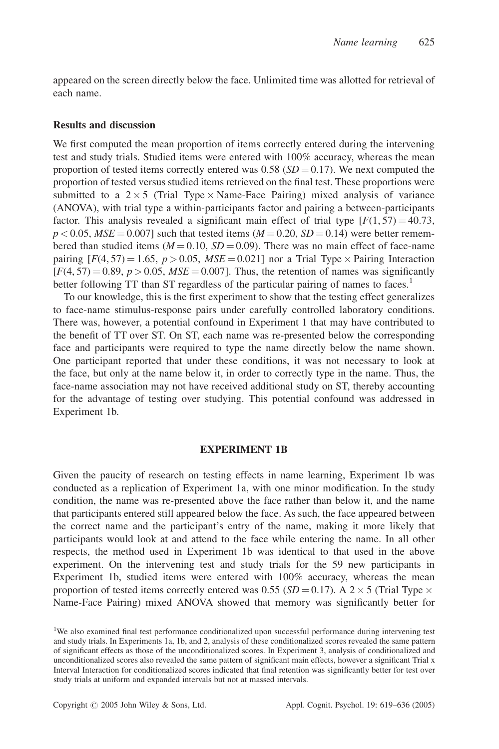appeared on the screen directly below the face. Unlimited time was allotted for retrieval of each name.

#### Results and discussion

We first computed the mean proportion of items correctly entered during the intervening test and study trials. Studied items were entered with 100% accuracy, whereas the mean proportion of tested items correctly entered was  $0.58$  ( $SD = 0.17$ ). We next computed the proportion of tested versus studied items retrieved on the final test. These proportions were submitted to a  $2 \times 5$  (Trial Type  $\times$  Name-Face Pairing) mixed analysis of variance (ANOVA), with trial type a within-participants factor and pairing a between-participants factor. This analysis revealed a significant main effect of trial type  $[F(1, 57) = 40.73$ ,  $p < 0.05$ , MSE = 0.007] such that tested items ( $M = 0.20$ , SD = 0.14) were better remembered than studied items ( $M = 0.10$ ,  $SD = 0.09$ ). There was no main effect of face-name pairing  $[F(4, 57) = 1.65, p > 0.05, MSE = 0.021]$  nor a Trial Type  $\times$  Pairing Interaction  $[F(4, 57) = 0.89, p > 0.05, MSE = 0.007$ . Thus, the retention of names was significantly better following TT than ST regardless of the particular pairing of names to faces.<sup>1</sup>

To our knowledge, this is the first experiment to show that the testing effect generalizes to face-name stimulus-response pairs under carefully controlled laboratory conditions. There was, however, a potential confound in Experiment 1 that may have contributed to the benefit of TT over ST. On ST, each name was re-presented below the corresponding face and participants were required to type the name directly below the name shown. One participant reported that under these conditions, it was not necessary to look at the face, but only at the name below it, in order to correctly type in the name. Thus, the face-name association may not have received additional study on ST, thereby accounting for the advantage of testing over studying. This potential confound was addressed in Experiment 1b.

#### EXPERIMENT 1B

Given the paucity of research on testing effects in name learning, Experiment 1b was conducted as a replication of Experiment 1a, with one minor modification. In the study condition, the name was re-presented above the face rather than below it, and the name that participants entered still appeared below the face. As such, the face appeared between the correct name and the participant's entry of the name, making it more likely that participants would look at and attend to the face while entering the name. In all other respects, the method used in Experiment 1b was identical to that used in the above experiment. On the intervening test and study trials for the 59 new participants in Experiment 1b, studied items were entered with 100% accuracy, whereas the mean proportion of tested items correctly entered was 0.55 ( $SD = 0.17$ ). A 2  $\times$  5 (Trial Type  $\times$ Name-Face Pairing) mixed ANOVA showed that memory was significantly better for

<sup>&</sup>lt;sup>1</sup>We also examined final test performance conditionalized upon successful performance during intervening test and study trials. In Experiments 1a, 1b, and 2, analysis of these conditionalized scores revealed the same pattern of significant effects as those of the unconditionalized scores. In Experiment 3, analysis of conditionalized and unconditionalized scores also revealed the same pattern of significant main effects, however a significant Trial x Interval Interaction for conditionalized scores indicated that final retention was significantly better for test over study trials at uniform and expanded intervals but not at massed intervals.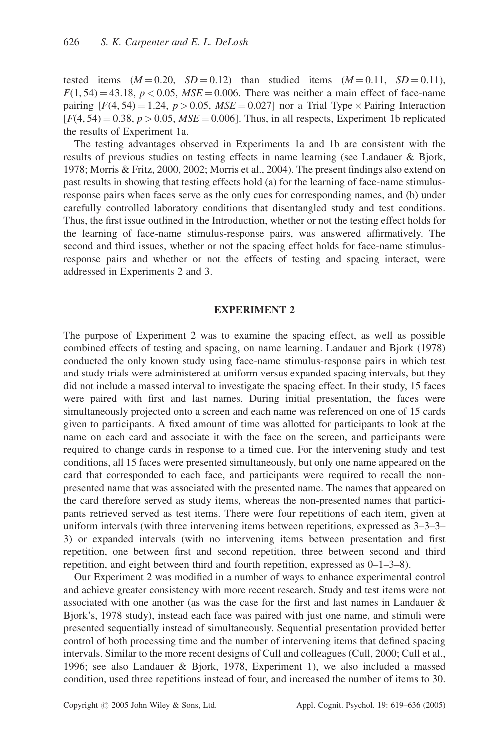tested items  $(M=0.20, SD=0.12)$  than studied items  $(M=0.11, SD=0.11)$ ,  $F(1, 54) = 43.18$ ,  $p < 0.05$ ,  $MSE = 0.006$ . There was neither a main effect of face-name pairing  $[F(4, 54) = 1.24, p > 0.05, MSE = 0.027]$  nor a Trial Type  $\times$  Pairing Interaction  $[F(4, 54) = 0.38, p > 0.05, MSE = 0.006]$ . Thus, in all respects, Experiment 1b replicated the results of Experiment 1a.

The testing advantages observed in Experiments 1a and 1b are consistent with the results of previous studies on testing effects in name learning (see Landauer & Bjork, 1978; Morris & Fritz, 2000, 2002; Morris et al., 2004). The present findings also extend on past results in showing that testing effects hold (a) for the learning of face-name stimulusresponse pairs when faces serve as the only cues for corresponding names, and (b) under carefully controlled laboratory conditions that disentangled study and test conditions. Thus, the first issue outlined in the Introduction, whether or not the testing effect holds for the learning of face-name stimulus-response pairs, was answered affirmatively. The second and third issues, whether or not the spacing effect holds for face-name stimulusresponse pairs and whether or not the effects of testing and spacing interact, were addressed in Experiments 2 and 3.

#### EXPERIMENT 2

The purpose of Experiment 2 was to examine the spacing effect, as well as possible combined effects of testing and spacing, on name learning. Landauer and Bjork (1978) conducted the only known study using face-name stimulus-response pairs in which test and study trials were administered at uniform versus expanded spacing intervals, but they did not include a massed interval to investigate the spacing effect. In their study, 15 faces were paired with first and last names. During initial presentation, the faces were simultaneously projected onto a screen and each name was referenced on one of 15 cards given to participants. A fixed amount of time was allotted for participants to look at the name on each card and associate it with the face on the screen, and participants were required to change cards in response to a timed cue. For the intervening study and test conditions, all 15 faces were presented simultaneously, but only one name appeared on the card that corresponded to each face, and participants were required to recall the nonpresented name that was associated with the presented name. The names that appeared on the card therefore served as study items, whereas the non-presented names that participants retrieved served as test items. There were four repetitions of each item, given at uniform intervals (with three intervening items between repetitions, expressed as 3–3–3– 3) or expanded intervals (with no intervening items between presentation and first repetition, one between first and second repetition, three between second and third repetition, and eight between third and fourth repetition, expressed as 0–1–3–8).

Our Experiment 2 was modified in a number of ways to enhance experimental control and achieve greater consistency with more recent research. Study and test items were not associated with one another (as was the case for the first and last names in Landauer  $\&$ Bjork's, 1978 study), instead each face was paired with just one name, and stimuli were presented sequentially instead of simultaneously. Sequential presentation provided better control of both processing time and the number of intervening items that defined spacing intervals. Similar to the more recent designs of Cull and colleagues (Cull, 2000; Cull et al., 1996; see also Landauer & Bjork, 1978, Experiment 1), we also included a massed condition, used three repetitions instead of four, and increased the number of items to 30.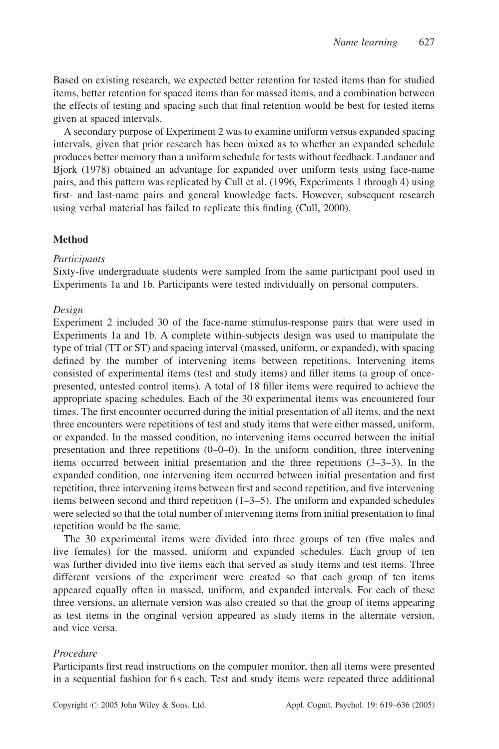Based on existing research, we expected better retention for tested items than for studied items, better retention for spaced items than for massed items, and a combination between the effects of testing and spacing such that final retention would be best for tested items given at spaced intervals.

A secondary purpose of Experiment 2 was to examine uniform versus expanded spacing intervals, given that prior research has been mixed as to whether an expanded schedule produces better memory than a uniform schedule for tests without feedback. Landauer and Bjork (1978) obtained an advantage for expanded over uniform tests using face-name pairs, and this pattern was replicated by Cull et al. (1996, Experiments 1 through 4) using first- and last-name pairs and general knowledge facts. However, subsequent research using verbal material has failed to replicate this finding (Cull, 2000).

## Method

### **Participants**

Sixty-five undergraduate students were sampled from the same participant pool used in Experiments 1a and 1b. Participants were tested individually on personal computers.

### Design

Experiment 2 included 30 of the face-name stimulus-response pairs that were used in Experiments 1a and 1b. A complete within-subjects design was used to manipulate the type of trial (TT or ST) and spacing interval (massed, uniform, or expanded), with spacing defined by the number of intervening items between repetitions. Intervening items consisted of experimental items (test and study items) and filler items (a group of oncepresented, untested control items). A total of 18 filler items were required to achieve the appropriate spacing schedules. Each of the 30 experimental items was encountered four times. The first encounter occurred during the initial presentation of all items, and the next three encounters were repetitions of test and study items that were either massed, uniform, or expanded. In the massed condition, no intervening items occurred between the initial presentation and three repetitions (0–0–0). In the uniform condition, three intervening items occurred between initial presentation and the three repetitions (3–3–3). In the expanded condition, one intervening item occurred between initial presentation and first repetition, three intervening items between first and second repetition, and five intervening items between second and third repetition  $(1-3-5)$ . The uniform and expanded schedules were selected so that the total number of intervening items from initial presentation to final repetition would be the same.

The 30 experimental items were divided into three groups of ten (five males and five females) for the massed, uniform and expanded schedules. Each group of ten was further divided into five items each that served as study items and test items. Three different versions of the experiment were created so that each group of ten items appeared equally often in massed, uniform, and expanded intervals. For each of these three versions, an alternate version was also created so that the group of items appearing as test items in the original version appeared as study items in the alternate version, and vice versa.

### Procedure

Participants first read instructions on the computer monitor, then all items were presented in a sequential fashion for 6 s each. Test and study items were repeated three additional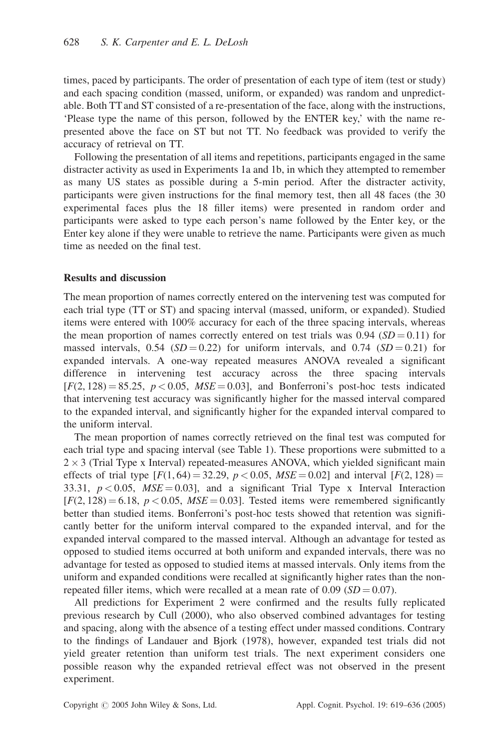times, paced by participants. The order of presentation of each type of item (test or study) and each spacing condition (massed, uniform, or expanded) was random and unpredictable. Both TT and ST consisted of a re-presentation of the face, along with the instructions, 'Please type the name of this person, followed by the ENTER key,' with the name represented above the face on ST but not TT. No feedback was provided to verify the accuracy of retrieval on TT.

Following the presentation of all items and repetitions, participants engaged in the same distracter activity as used in Experiments 1a and 1b, in which they attempted to remember as many US states as possible during a 5-min period. After the distracter activity, participants were given instructions for the final memory test, then all 48 faces (the 30 experimental faces plus the 18 filler items) were presented in random order and participants were asked to type each person's name followed by the Enter key, or the Enter key alone if they were unable to retrieve the name. Participants were given as much time as needed on the final test.

#### Results and discussion

The mean proportion of names correctly entered on the intervening test was computed for each trial type (TT or ST) and spacing interval (massed, uniform, or expanded). Studied items were entered with 100% accuracy for each of the three spacing intervals, whereas the mean proportion of names correctly entered on test trials was  $0.94$  ( $SD = 0.11$ ) for massed intervals, 0.54 ( $SD = 0.22$ ) for uniform intervals, and 0.74 ( $SD = 0.21$ ) for expanded intervals. A one-way repeated measures ANOVA revealed a significant difference in intervening test accuracy across the three spacing intervals  $[F(2, 128) = 85.25, p < 0.05, MSE = 0.03]$ , and Bonferroni's post-hoc tests indicated that intervening test accuracy was significantly higher for the massed interval compared to the expanded interval, and significantly higher for the expanded interval compared to the uniform interval.

The mean proportion of names correctly retrieved on the final test was computed for each trial type and spacing interval (see Table 1). These proportions were submitted to a  $2 \times 3$  (Trial Type x Interval) repeated-measures ANOVA, which yielded significant main effects of trial type  $[F(1, 64) = 32.29, p < 0.05, MSE = 0.02]$  and interval  $[F(2, 128) =$ 33.31,  $p < 0.05$ ,  $MSE = 0.03$ , and a significant Trial Type x Interval Interaction  $[F(2, 128) = 6.18, p < 0.05, MSE = 0.03]$ . Tested items were remembered significantly better than studied items. Bonferroni's post-hoc tests showed that retention was significantly better for the uniform interval compared to the expanded interval, and for the expanded interval compared to the massed interval. Although an advantage for tested as opposed to studied items occurred at both uniform and expanded intervals, there was no advantage for tested as opposed to studied items at massed intervals. Only items from the uniform and expanded conditions were recalled at significantly higher rates than the nonrepeated filler items, which were recalled at a mean rate of  $0.09$  ( $SD = 0.07$ ).

All predictions for Experiment 2 were confirmed and the results fully replicated previous research by Cull (2000), who also observed combined advantages for testing and spacing, along with the absence of a testing effect under massed conditions. Contrary to the findings of Landauer and Bjork (1978), however, expanded test trials did not yield greater retention than uniform test trials. The next experiment considers one possible reason why the expanded retrieval effect was not observed in the present experiment.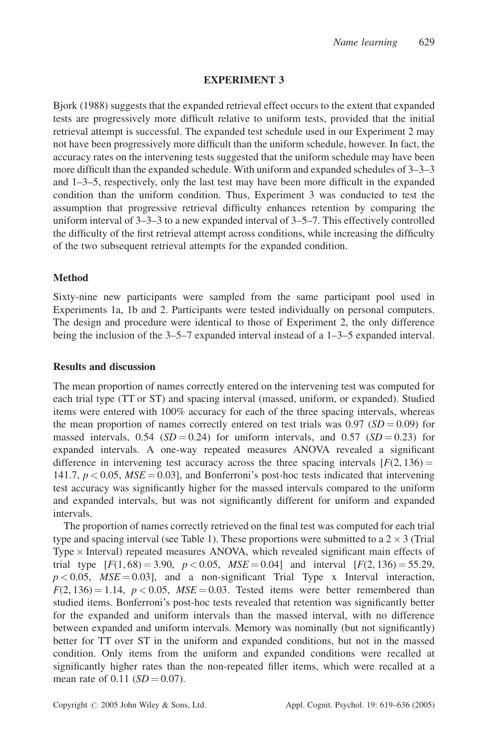### EXPERIMENT 3

Bjork (1988) suggests that the expanded retrieval effect occurs to the extent that expanded tests are progressively more difficult relative to uniform tests, provided that the initial retrieval attempt is successful. The expanded test schedule used in our Experiment 2 may not have been progressively more difficult than the uniform schedule, however. In fact, the accuracy rates on the intervening tests suggested that the uniform schedule may have been more difficult than the expanded schedule. With uniform and expanded schedules of 3–3–3 and 1–3–5, respectively, only the last test may have been more difficult in the expanded condition than the uniform condition. Thus, Experiment 3 was conducted to test the assumption that progressive retrieval difficulty enhances retention by comparing the uniform interval of 3–3–3 to a new expanded interval of 3–5–7. This effectively controlled the difficulty of the first retrieval attempt across conditions, while increasing the difficulty of the two subsequent retrieval attempts for the expanded condition.

## **Method**

Sixty-nine new participants were sampled from the same participant pool used in Experiments 1a, 1b and 2. Participants were tested individually on personal computers. The design and procedure were identical to those of Experiment 2, the only difference being the inclusion of the 3–5–7 expanded interval instead of a 1–3–5 expanded interval.

### Results and discussion

The mean proportion of names correctly entered on the intervening test was computed for each trial type (TT or ST) and spacing interval (massed, uniform, or expanded). Studied items were entered with 100% accuracy for each of the three spacing intervals, whereas the mean proportion of names correctly entered on test trials was  $0.97$  ( $SD = 0.09$ ) for massed intervals, 0.54 ( $SD = 0.24$ ) for uniform intervals, and 0.57 ( $SD = 0.23$ ) for expanded intervals. A one-way repeated measures ANOVA revealed a significant difference in intervening test accuracy across the three spacing intervals  $[F(2, 136) =$ 141.7,  $p < 0.05$ , MSE = 0.03], and Bonferroni's post-hoc tests indicated that intervening test accuracy was significantly higher for the massed intervals compared to the uniform and expanded intervals, but was not significantly different for uniform and expanded intervals.

The proportion of names correctly retrieved on the final test was computed for each trial type and spacing interval (see Table 1). These proportions were submitted to a  $2 \times 3$  (Trial Type  $\times$  Interval) repeated measures ANOVA, which revealed significant main effects of trial type  $[F(1, 68) = 3.90, p < 0.05, MSE = 0.04]$  and interval  $[F(2, 136) = 55.29,$  $p < 0.05$ ,  $MSE = 0.03$ ], and a non-significant Trial Type x Interval interaction,  $F(2, 136) = 1.14$ ,  $p < 0.05$ ,  $MSE = 0.03$ . Tested items were better remembered than studied items. Bonferroni's post-hoc tests revealed that retention was significantly better for the expanded and uniform intervals than the massed interval, with no difference between expanded and uniform intervals. Memory was nominally (but not significantly) better for TT over ST in the uniform and expanded conditions, but not in the massed condition. Only items from the uniform and expanded conditions were recalled at significantly higher rates than the non-repeated filler items, which were recalled at a mean rate of 0.11 ( $SD = 0.07$ ).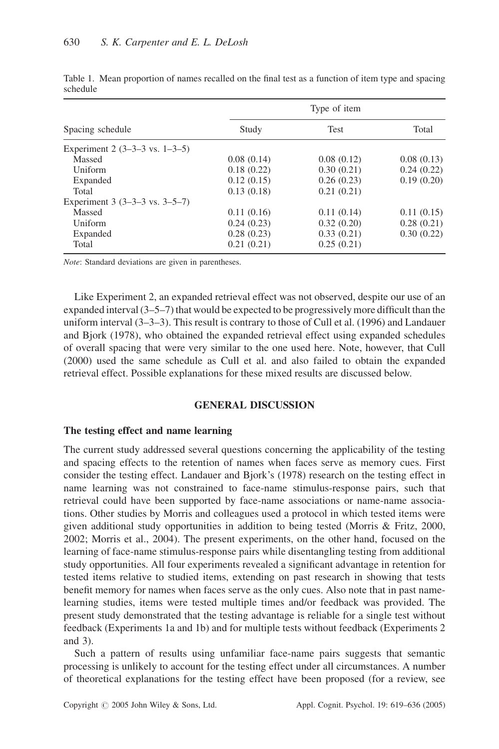| Spacing schedule                          | Type of item |             |            |
|-------------------------------------------|--------------|-------------|------------|
|                                           | Study        | <b>Test</b> | Total      |
| Experiment 2 $(3-3-3 \text{ vs. } 1-3-5)$ |              |             |            |
| Massed                                    | 0.08(0.14)   | 0.08(0.12)  | 0.08(0.13) |
| Uniform                                   | 0.18(0.22)   | 0.30(0.21)  | 0.24(0.22) |
| Expanded                                  | 0.12(0.15)   | 0.26(0.23)  | 0.19(0.20) |
| Total                                     | 0.13(0.18)   | 0.21(0.21)  |            |
| Experiment 3 $(3-3-3 \text{ vs. } 3-5-7)$ |              |             |            |
| Massed                                    | 0.11(0.16)   | 0.11(0.14)  | 0.11(0.15) |
| Uniform                                   | 0.24(0.23)   | 0.32(0.20)  | 0.28(0.21) |
| Expanded                                  | 0.28(0.23)   | 0.33(0.21)  | 0.30(0.22) |
| Total                                     | 0.21(0.21)   | 0.25(0.21)  |            |

Table 1. Mean proportion of names recalled on the final test as a function of item type and spacing schedule

Note: Standard deviations are given in parentheses.

Like Experiment 2, an expanded retrieval effect was not observed, despite our use of an expanded interval (3–5–7) that would be expected to be progressively more difficult than the uniform interval (3–3–3). This result is contrary to those of Cull et al. (1996) and Landauer and Bjork (1978), who obtained the expanded retrieval effect using expanded schedules of overall spacing that were very similar to the one used here. Note, however, that Cull (2000) used the same schedule as Cull et al. and also failed to obtain the expanded retrieval effect. Possible explanations for these mixed results are discussed below.

#### GENERAL DISCUSSION

#### The testing effect and name learning

The current study addressed several questions concerning the applicability of the testing and spacing effects to the retention of names when faces serve as memory cues. First consider the testing effect. Landauer and Bjork's (1978) research on the testing effect in name learning was not constrained to face-name stimulus-response pairs, such that retrieval could have been supported by face-name associations or name-name associations. Other studies by Morris and colleagues used a protocol in which tested items were given additional study opportunities in addition to being tested (Morris & Fritz, 2000, 2002; Morris et al., 2004). The present experiments, on the other hand, focused on the learning of face-name stimulus-response pairs while disentangling testing from additional study opportunities. All four experiments revealed a significant advantage in retention for tested items relative to studied items, extending on past research in showing that tests benefit memory for names when faces serve as the only cues. Also note that in past namelearning studies, items were tested multiple times and/or feedback was provided. The present study demonstrated that the testing advantage is reliable for a single test without feedback (Experiments 1a and 1b) and for multiple tests without feedback (Experiments 2 and 3).

Such a pattern of results using unfamiliar face-name pairs suggests that semantic processing is unlikely to account for the testing effect under all circumstances. A number of theoretical explanations for the testing effect have been proposed (for a review, see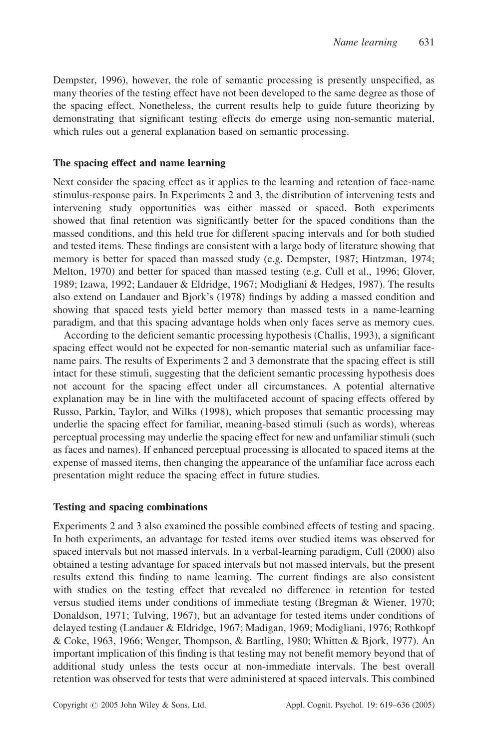Dempster, 1996), however, the role of semantic processing is presently unspecified, as many theories of the testing effect have not been developed to the same degree as those of the spacing effect. Nonetheless, the current results help to guide future theorizing by demonstrating that significant testing effects do emerge using non-semantic material, which rules out a general explanation based on semantic processing.

### The spacing effect and name learning

Next consider the spacing effect as it applies to the learning and retention of face-name stimulus-response pairs. In Experiments 2 and 3, the distribution of intervening tests and intervening study opportunities was either massed or spaced. Both experiments showed that final retention was significantly better for the spaced conditions than the massed conditions, and this held true for different spacing intervals and for both studied and tested items. These findings are consistent with a large body of literature showing that memory is better for spaced than massed study (e.g. Dempster, 1987; Hintzman, 1974; Melton, 1970) and better for spaced than massed testing (e.g. Cull et al., 1996; Glover, 1989; Izawa, 1992; Landauer & Eldridge, 1967; Modigliani & Hedges, 1987). The results also extend on Landauer and Bjork's (1978) findings by adding a massed condition and showing that spaced tests yield better memory than massed tests in a name-learning paradigm, and that this spacing advantage holds when only faces serve as memory cues.

According to the deficient semantic processing hypothesis (Challis, 1993), a significant spacing effect would not be expected for non-semantic material such as unfamiliar facename pairs. The results of Experiments 2 and 3 demonstrate that the spacing effect is still intact for these stimuli, suggesting that the deficient semantic processing hypothesis does not account for the spacing effect under all circumstances. A potential alternative explanation may be in line with the multifaceted account of spacing effects offered by Russo, Parkin, Taylor, and Wilks (1998), which proposes that semantic processing may underlie the spacing effect for familiar, meaning-based stimuli (such as words), whereas perceptual processing may underlie the spacing effect for new and unfamiliar stimuli (such as faces and names). If enhanced perceptual processing is allocated to spaced items at the expense of massed items, then changing the appearance of the unfamiliar face across each presentation might reduce the spacing effect in future studies.

#### Testing and spacing combinations

Experiments 2 and 3 also examined the possible combined effects of testing and spacing. In both experiments, an advantage for tested items over studied items was observed for spaced intervals but not massed intervals. In a verbal-learning paradigm, Cull (2000) also obtained a testing advantage for spaced intervals but not massed intervals, but the present results extend this finding to name learning. The current findings are also consistent with studies on the testing effect that revealed no difference in retention for tested versus studied items under conditions of immediate testing (Bregman & Wiener, 1970; Donaldson, 1971; Tulving, 1967), but an advantage for tested items under conditions of delayed testing (Landauer & Eldridge, 1967; Madigan, 1969; Modigliani, 1976; Rothkopf & Coke, 1963, 1966; Wenger, Thompson, & Bartling, 1980; Whitten & Bjork, 1977). An important implication of this finding is that testing may not benefit memory beyond that of additional study unless the tests occur at non-immediate intervals. The best overall retention was observed for tests that were administered at spaced intervals. This combined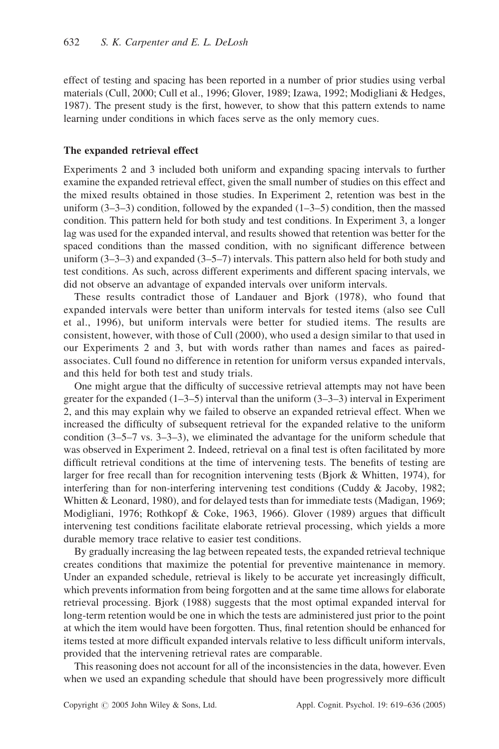effect of testing and spacing has been reported in a number of prior studies using verbal materials (Cull, 2000; Cull et al., 1996; Glover, 1989; Izawa, 1992; Modigliani & Hedges, 1987). The present study is the first, however, to show that this pattern extends to name learning under conditions in which faces serve as the only memory cues.

### The expanded retrieval effect

Experiments 2 and 3 included both uniform and expanding spacing intervals to further examine the expanded retrieval effect, given the small number of studies on this effect and the mixed results obtained in those studies. In Experiment 2, retention was best in the uniform  $(3-3-3)$  condition, followed by the expanded  $(1-3-5)$  condition, then the massed condition. This pattern held for both study and test conditions. In Experiment 3, a longer lag was used for the expanded interval, and results showed that retention was better for the spaced conditions than the massed condition, with no significant difference between uniform  $(3-3-3)$  and expanded  $(3-5-7)$  intervals. This pattern also held for both study and test conditions. As such, across different experiments and different spacing intervals, we did not observe an advantage of expanded intervals over uniform intervals.

These results contradict those of Landauer and Bjork (1978), who found that expanded intervals were better than uniform intervals for tested items (also see Cull et al., 1996), but uniform intervals were better for studied items. The results are consistent, however, with those of Cull (2000), who used a design similar to that used in our Experiments 2 and 3, but with words rather than names and faces as pairedassociates. Cull found no difference in retention for uniform versus expanded intervals, and this held for both test and study trials.

One might argue that the difficulty of successive retrieval attempts may not have been greater for the expanded  $(1-3-5)$  interval than the uniform  $(3-3-3)$  interval in Experiment 2, and this may explain why we failed to observe an expanded retrieval effect. When we increased the difficulty of subsequent retrieval for the expanded relative to the uniform condition (3–5–7 vs. 3–3–3), we eliminated the advantage for the uniform schedule that was observed in Experiment 2. Indeed, retrieval on a final test is often facilitated by more difficult retrieval conditions at the time of intervening tests. The benefits of testing are larger for free recall than for recognition intervening tests (Bjork & Whitten, 1974), for interfering than for non-interfering intervening test conditions (Cuddy & Jacoby, 1982; Whitten & Leonard, 1980), and for delayed tests than for immediate tests (Madigan, 1969; Modigliani, 1976; Rothkopf & Coke, 1963, 1966). Glover (1989) argues that difficult intervening test conditions facilitate elaborate retrieval processing, which yields a more durable memory trace relative to easier test conditions.

By gradually increasing the lag between repeated tests, the expanded retrieval technique creates conditions that maximize the potential for preventive maintenance in memory. Under an expanded schedule, retrieval is likely to be accurate yet increasingly difficult, which prevents information from being forgotten and at the same time allows for elaborate retrieval processing. Bjork (1988) suggests that the most optimal expanded interval for long-term retention would be one in which the tests are administered just prior to the point at which the item would have been forgotten. Thus, final retention should be enhanced for items tested at more difficult expanded intervals relative to less difficult uniform intervals, provided that the intervening retrieval rates are comparable.

This reasoning does not account for all of the inconsistencies in the data, however. Even when we used an expanding schedule that should have been progressively more difficult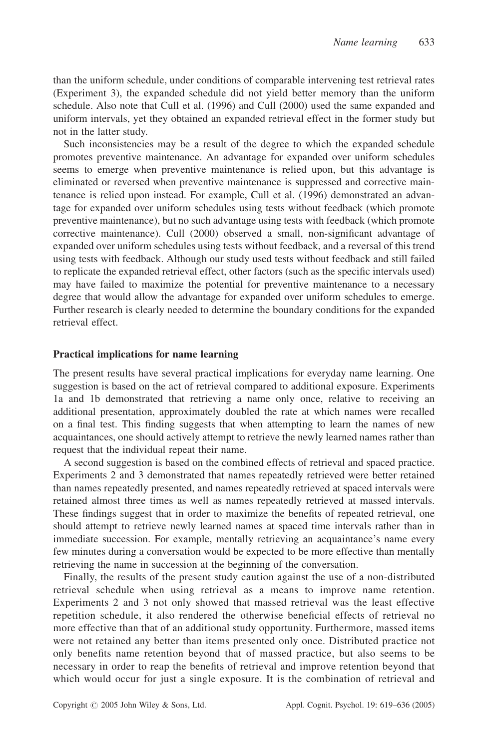than the uniform schedule, under conditions of comparable intervening test retrieval rates (Experiment 3), the expanded schedule did not yield better memory than the uniform schedule. Also note that Cull et al. (1996) and Cull (2000) used the same expanded and uniform intervals, yet they obtained an expanded retrieval effect in the former study but not in the latter study.

Such inconsistencies may be a result of the degree to which the expanded schedule promotes preventive maintenance. An advantage for expanded over uniform schedules seems to emerge when preventive maintenance is relied upon, but this advantage is eliminated or reversed when preventive maintenance is suppressed and corrective maintenance is relied upon instead. For example, Cull et al. (1996) demonstrated an advantage for expanded over uniform schedules using tests without feedback (which promote preventive maintenance), but no such advantage using tests with feedback (which promote corrective maintenance). Cull (2000) observed a small, non-significant advantage of expanded over uniform schedules using tests without feedback, and a reversal of this trend using tests with feedback. Although our study used tests without feedback and still failed to replicate the expanded retrieval effect, other factors (such as the specific intervals used) may have failed to maximize the potential for preventive maintenance to a necessary degree that would allow the advantage for expanded over uniform schedules to emerge. Further research is clearly needed to determine the boundary conditions for the expanded retrieval effect.

### Practical implications for name learning

The present results have several practical implications for everyday name learning. One suggestion is based on the act of retrieval compared to additional exposure. Experiments 1a and 1b demonstrated that retrieving a name only once, relative to receiving an additional presentation, approximately doubled the rate at which names were recalled on a final test. This finding suggests that when attempting to learn the names of new acquaintances, one should actively attempt to retrieve the newly learned names rather than request that the individual repeat their name.

A second suggestion is based on the combined effects of retrieval and spaced practice. Experiments 2 and 3 demonstrated that names repeatedly retrieved were better retained than names repeatedly presented, and names repeatedly retrieved at spaced intervals were retained almost three times as well as names repeatedly retrieved at massed intervals. These findings suggest that in order to maximize the benefits of repeated retrieval, one should attempt to retrieve newly learned names at spaced time intervals rather than in immediate succession. For example, mentally retrieving an acquaintance's name every few minutes during a conversation would be expected to be more effective than mentally retrieving the name in succession at the beginning of the conversation.

Finally, the results of the present study caution against the use of a non-distributed retrieval schedule when using retrieval as a means to improve name retention. Experiments 2 and 3 not only showed that massed retrieval was the least effective repetition schedule, it also rendered the otherwise beneficial effects of retrieval no more effective than that of an additional study opportunity. Furthermore, massed items were not retained any better than items presented only once. Distributed practice not only benefits name retention beyond that of massed practice, but also seems to be necessary in order to reap the benefits of retrieval and improve retention beyond that which would occur for just a single exposure. It is the combination of retrieval and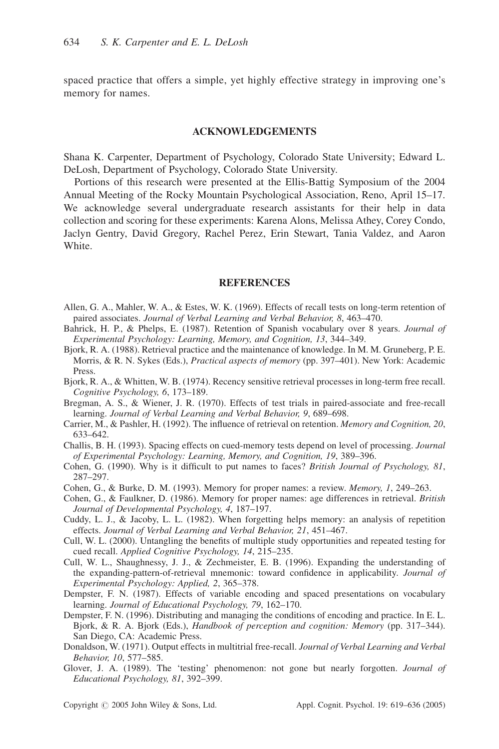spaced practice that offers a simple, yet highly effective strategy in improving one's memory for names.

#### ACKNOWLEDGEMENTS

Shana K. Carpenter, Department of Psychology, Colorado State University; Edward L. DeLosh, Department of Psychology, Colorado State University.

Portions of this research were presented at the Ellis-Battig Symposium of the 2004 Annual Meeting of the Rocky Mountain Psychological Association, Reno, April 15–17. We acknowledge several undergraduate research assistants for their help in data collection and scoring for these experiments: Karena Alons, Melissa Athey, Corey Condo, Jaclyn Gentry, David Gregory, Rachel Perez, Erin Stewart, Tania Valdez, and Aaron **White** 

#### **REFERENCES**

- Allen, G. A., Mahler, W. A., & Estes, W. K. (1969). Effects of recall tests on long-term retention of paired associates. Journal of Verbal Learning and Verbal Behavior, 8, 463-470.
- Bahrick, H. P., & Phelps, E. (1987). Retention of Spanish vocabulary over 8 years. Journal of Experimental Psychology: Learning, Memory, and Cognition, 13, 344–349.
- Bjork, R. A. (1988). Retrieval practice and the maintenance of knowledge. In M. M. Gruneberg, P. E. Morris, & R. N. Sykes (Eds.), *Practical aspects of memory* (pp. 397–401). New York: Academic Press.
- Bjork, R. A., & Whitten, W. B. (1974). Recency sensitive retrieval processes in long-term free recall. Cognitive Psychology, 6, 173–189.
- Bregman, A. S., & Wiener, J. R. (1970). Effects of test trials in paired-associate and free-recall learning. Journal of Verbal Learning and Verbal Behavior, 9, 689–698.
- Carrier, M., & Pashler, H. (1992). The influence of retrieval on retention. Memory and Cognition, 20, 633–642.
- Challis, B. H. (1993). Spacing effects on cued-memory tests depend on level of processing. Journal of Experimental Psychology: Learning, Memory, and Cognition, 19, 389–396.
- Cohen, G. (1990). Why is it difficult to put names to faces? British Journal of Psychology, 81, 287–297.
- Cohen, G., & Burke, D. M. (1993). Memory for proper names: a review. Memory, 1, 249–263.
- Cohen, G., & Faulkner, D. (1986). Memory for proper names: age differences in retrieval. British Journal of Developmental Psychology, 4, 187–197.
- Cuddy, L. J., & Jacoby, L. L. (1982). When forgetting helps memory: an analysis of repetition effects. Journal of Verbal Learning and Verbal Behavior, 21, 451–467.
- Cull, W. L. (2000). Untangling the benefits of multiple study opportunities and repeated testing for cued recall. Applied Cognitive Psychology, 14, 215–235.
- Cull, W. L., Shaughnessy, J. J., & Zechmeister, E. B. (1996). Expanding the understanding of the expanding-pattern-of-retrieval mnemonic: toward confidence in applicability. Journal of Experimental Psychology: Applied, 2, 365–378.
- Dempster, F. N. (1987). Effects of variable encoding and spaced presentations on vocabulary learning. Journal of Educational Psychology, 79, 162–170.
- Dempster, F. N. (1996). Distributing and managing the conditions of encoding and practice. In E. L. Bjork, & R. A. Bjork (Eds.), Handbook of perception and cognition: Memory (pp. 317–344). San Diego, CA: Academic Press.
- Donaldson, W. (1971). Output effects in multitrial free-recall. Journal of Verbal Learning and Verbal Behavior, 10, 577–585.
- Glover, J. A. (1989). The 'testing' phenomenon: not gone but nearly forgotten. *Journal of* Educational Psychology, 81, 392–399.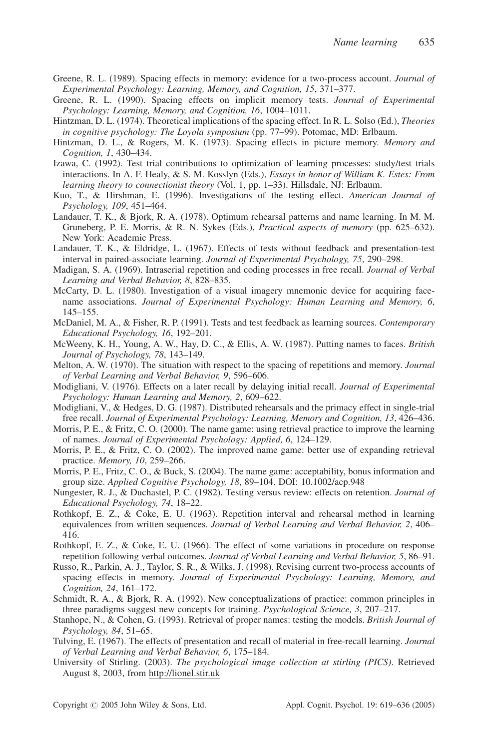- Greene, R. L. (1989). Spacing effects in memory: evidence for a two-process account. *Journal of* Experimental Psychology: Learning, Memory, and Cognition, 15, 371–377.
- Greene, R. L. (1990). Spacing effects on implicit memory tests. Journal of Experimental Psychology: Learning, Memory, and Cognition, 16, 1004–1011.
- Hintzman, D. L. (1974). Theoretical implications of the spacing effect. In R. L. Solso (Ed.), Theories in cognitive psychology: The Loyola symposium (pp. 77–99). Potomac, MD: Erlbaum.
- Hintzman, D. L., & Rogers, M. K. (1973). Spacing effects in picture memory. Memory and Cognition, 1, 430–434.
- Izawa, C. (1992). Test trial contributions to optimization of learning processes: study/test trials interactions. In A. F. Healy, & S. M. Kosslyn (Eds.), Essays in honor of William K. Estes: From learning theory to connectionist theory (Vol. 1, pp. 1–33). Hillsdale, NJ: Erlbaum.
- Kuo, T., & Hirshman, E. (1996). Investigations of the testing effect. American Journal of Psychology, 109, 451–464.
- Landauer, T. K., & Bjork, R. A. (1978). Optimum rehearsal patterns and name learning. In M. M. Gruneberg, P. E. Morris, & R. N. Sykes (Eds.), Practical aspects of memory (pp. 625–632). New York: Academic Press.
- Landauer, T. K., & Eldridge, L. (1967). Effects of tests without feedback and presentation-test interval in paired-associate learning. Journal of Experimental Psychology, 75, 290–298.
- Madigan, S. A. (1969). Intraserial repetition and coding processes in free recall. *Journal of Verbal* Learning and Verbal Behavior, 8, 828–835.
- McCarty, D. L. (1980). Investigation of a visual imagery mnemonic device for acquiring facename associations. Journal of Experimental Psychology: Human Learning and Memory, 6, 145–155.
- McDaniel, M. A., & Fisher, R. P. (1991). Tests and test feedback as learning sources. Contemporary Educational Psychology, 16, 192–201.
- McWeeny, K. H., Young, A. W., Hay, D. C., & Ellis, A. W. (1987). Putting names to faces. *British* Journal of Psychology, 78, 143–149.
- Melton, A. W. (1970). The situation with respect to the spacing of repetitions and memory. Journal of Verbal Learning and Verbal Behavior, 9, 596–606.
- Modigliani, V. (1976). Effects on a later recall by delaying initial recall. Journal of Experimental Psychology: Human Learning and Memory, 2, 609–622.
- Modigliani, V., & Hedges, D. G. (1987). Distributed rehearsals and the primacy effect in single-trial free recall. Journal of Experimental Psychology: Learning, Memory and Cognition, 13, 426–436.
- Morris, P. E., & Fritz, C. O. (2000). The name game: using retrieval practice to improve the learning of names. Journal of Experimental Psychology: Applied, 6, 124–129.
- Morris, P. E., & Fritz, C. O. (2002). The improved name game: better use of expanding retrieval practice. Memory, 10, 259–266.
- Morris, P. E., Fritz, C. O., & Buck, S. (2004). The name game: acceptability, bonus information and group size. Applied Cognitive Psychology, 18, 89–104. DOI: 10.1002/acp.948
- Nungester, R. J., & Duchastel, P. C. (1982). Testing versus review: effects on retention. *Journal of* Educational Psychology, 74, 18–22.
- Rothkopf, E. Z., & Coke, E. U. (1963). Repetition interval and rehearsal method in learning equivalences from written sequences. Journal of Verbal Learning and Verbal Behavior, 2, 406– 416.
- Rothkopf, E. Z., & Coke, E. U. (1966). The effect of some variations in procedure on response repetition following verbal outcomes. Journal of Verbal Learning and Verbal Behavior, 5, 86–91.
- Russo, R., Parkin, A. J., Taylor, S. R., & Wilks, J. (1998). Revising current two-process accounts of spacing effects in memory. Journal of Experimental Psychology: Learning, Memory, and Cognition, 24, 161–172.
- Schmidt, R. A., & Bjork, R. A. (1992). New conceptualizations of practice: common principles in three paradigms suggest new concepts for training. Psychological Science, 3, 207-217.
- Stanhope, N., & Cohen, G. (1993). Retrieval of proper names: testing the models. British Journal of Psychology, 84, 51–65.
- Tulving, E. (1967). The effects of presentation and recall of material in free-recall learning. Journal of Verbal Learning and Verbal Behavior, 6, 175–184.
- University of Stirling. (2003). The psychological image collection at stirling (PICS). Retrieved August 8, 2003, from http://lionel.stir.uk